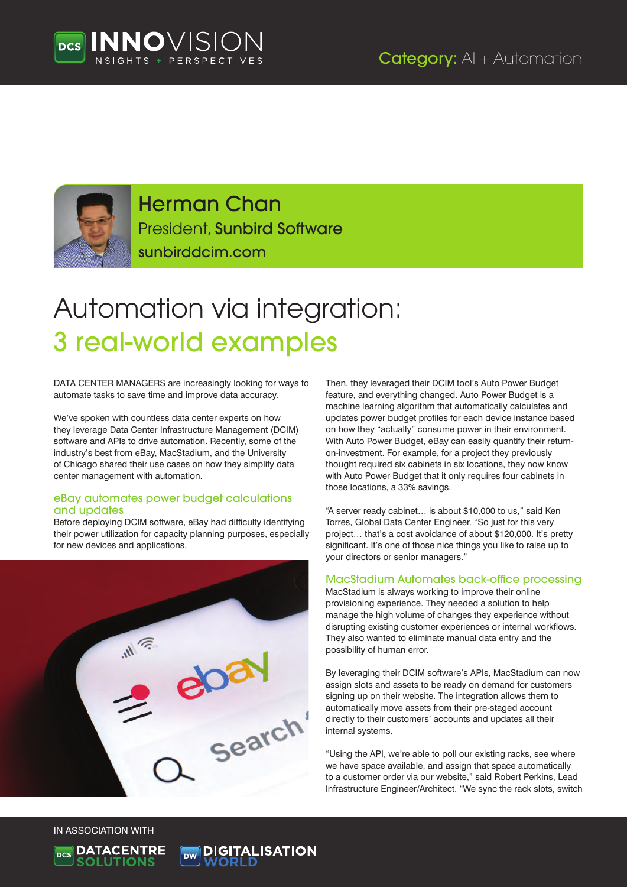



Herman Chan President, Sunbird Software sunbirddcim.com

# Automation via integration: 3 real-world examples

DATA CENTER MANAGERS are increasingly looking for ways to automate tasks to save time and improve data accuracy.

We've spoken with countless data center experts on how they leverage Data Center Infrastructure Management (DCIM) software and APIs to drive automation. Recently, some of the industry's best from eBay, MacStadium, and the University of Chicago shared their use cases on how they simplify data center management with automation.

#### eBay automates power budget calculations and updates

Before deploying DCIM software, eBay had difficulty identifying their power utilization for capacity planning purposes, especially for new devices and applications.



Then, they leveraged their DCIM tool's Auto Power Budget feature, and everything changed. Auto Power Budget is a machine learning algorithm that automatically calculates and updates power budget profiles for each device instance based on how they "actually" consume power in their environment. With Auto Power Budget, eBay can easily quantify their returnon-investment. For example, for a project they previously thought required six cabinets in six locations, they now know with Auto Power Budget that it only requires four cabinets in those locations, a 33% savings.

"A server ready cabinet… is about \$10,000 to us," said Ken Torres, Global Data Center Engineer. "So just for this very project… that's a cost avoidance of about \$120,000. It's pretty significant. It's one of those nice things you like to raise up to your directors or senior managers."

### MacStadium Automates back-office processing

MacStadium is always working to improve their online provisioning experience. They needed a solution to help manage the high volume of changes they experience without disrupting existing customer experiences or internal workflows. They also wanted to eliminate manual data entry and the possibility of human error.

By leveraging their DCIM software's APIs, MacStadium can now assign slots and assets to be ready on demand for customers signing up on their website. The integration allows them to automatically move assets from their pre-staged account directly to their customers' accounts and updates all their internal systems.

"Using the API, we're able to poll our existing racks, see where we have space available, and assign that space automatically to a customer order via our website," said Robert Perkins, Lead Infrastructure Engineer/Architect. "We sync the rack slots, switch

IN ASSOCIATION WITH



**DIGITALISATION**<br>WORLD